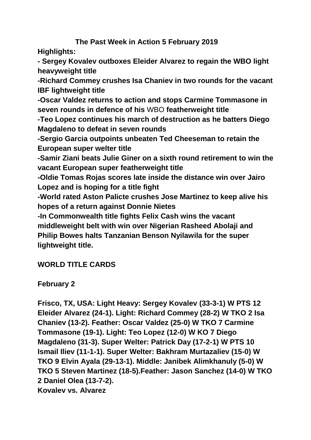#### **The Past Week in Action 5 February 2019 Highlights:**

**- Sergey Kovalev outboxes Eleider Alvarez to regain the WBO light heavyweight title**

**-Richard Commey crushes Isa Chaniev in two rounds for the vacant IBF lightweight title**

**-Oscar Valdez returns to action and stops Carmine Tommasone in seven rounds in defence of his** WBO **featherweight title**

**-Teo Lopez continues his march of destruction as he batters Diego Magdaleno to defeat in seven rounds**

**-Sergio Garcia outpoints unbeaten Ted Cheeseman to retain the European super welter title**

**-Samir Ziani beats Julie Giner on a sixth round retirement to win the vacant European super featherweight title**

**-Oldie Tomas Rojas scores late inside the distance win over Jairo Lopez and is hoping for a title fight**

**-World rated Aston Palicte crushes Jose Martinez to keep alive his hopes of a return against Donnie Nietes**

**-In Commonwealth title fights Felix Cash wins the vacant middleweight belt with win over Nigerian Rasheed Abolaji and Philip Bowes halts Tanzanian Benson Nyilawila for the super lightweight title.**

## **WORLD TITLE CARDS**

**February 2**

**Frisco, TX, USA: Light Heavy: Sergey Kovalev (33-3-1) W PTS 12 Eleider Alvarez (24-1). Light: Richard Commey (28-2) W TKO 2 Isa Chaniev (13-2). Feather: Oscar Valdez (25-0) W TKO 7 Carmine Tommasone (19-1). Light: Teo Lopez (12-0) W KO 7 Diego Magdaleno (31-3). Super Welter: Patrick Day (17-2-1) W PTS 10 Ismail Iliev (11-1-1). Super Welter: Bakhram Murtazaliev (15-0) W TKO 9 Elvin Ayala (29-13-1). Middle: Janibek Alimkhanuly (5-0) W TKO 5 Steven Martinez (18-5).Feather: Jason Sanchez (14-0) W TKO 2 Daniel Olea (13-7-2). Kovalev vs. Alvarez**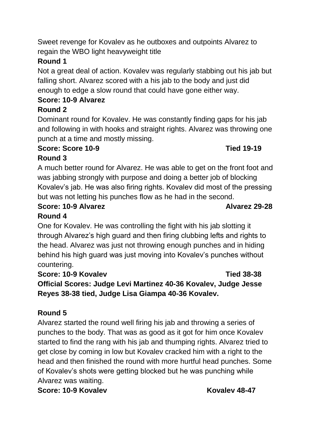Sweet revenge for Kovalev as he outboxes and outpoints Alvarez to regain the WBO light heavyweight title

## **Round 1**

Not a great deal of action. Kovalev was regularly stabbing out his jab but falling short. Alvarez scored with a his jab to the body and just did enough to edge a slow round that could have gone either way.

## **Score: 10-9 Alvarez**

## **Round 2**

Dominant round for Kovalev. He was constantly finding gaps for his jab and following in with hooks and straight rights. Alvarez was throwing one punch at a time and mostly missing.

## **Score: Score 10-9 Tied 19-19**

## **Round 3**

A much better round for Alvarez. He was able to get on the front foot and was jabbing strongly with purpose and doing a better job of blocking Kovalev's jab. He was also firing rights. Kovalev did most of the pressing but was not letting his punches flow as he had in the second.

# **Score: 10-9 Alvarez Alvarez Alvarez 29-28**

## **Round 4**

One for Kovalev. He was controlling the fight with his jab slotting it through Alvarez's high guard and then firing clubbing lefts and rights to the head. Alvarez was just not throwing enough punches and in hiding behind his high guard was just moving into Kovalev's punches without countering.

## **Score: 10-9 Kovalev Tied 38-38**

**Official Scores: Judge Levi Martinez 40-36 Kovalev, Judge Jesse Reyes 38-38 tied, Judge Lisa Giampa 40-36 Kovalev.** 

## **Round 5**

Alvarez started the round well firing his jab and throwing a series of punches to the body. That was as good as it got for him once Kovalev started to find the rang with his jab and thumping rights. Alvarez tried to get close by coming in low but Kovalev cracked him with a right to the head and then finished the round with more hurtful head punches. Some of Kovalev's shots were getting blocked but he was punching while Alvarez was waiting.

**Score: 10-9 Kovalev <b>Kovalev Kovalev Kovalev 48-47**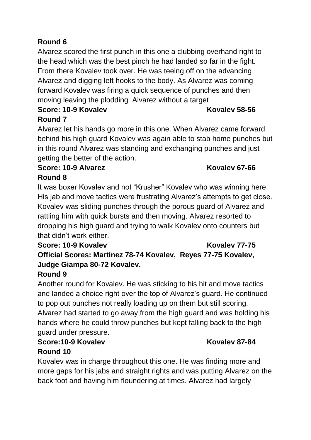## **Round 6**

Alvarez scored the first punch in this one a clubbing overhand right to the head which was the best pinch he had landed so far in the fight. From there Kovalev took over. He was teeing off on the advancing Alvarez and digging left hooks to the body. As Alvarez was coming forward Kovalev was firing a quick sequence of punches and then moving leaving the plodding Alvarez without a target

## **Score: 10-9 Kovalev**  Kovalev **Kovalev 58-56 Round 7**

Alvarez let his hands go more in this one. When Alvarez came forward behind his high guard Kovalev was again able to stab home punches but in this round Alvarez was standing and exchanging punches and just getting the better of the action.

#### **Score: 10-9 Alvarez Kovalev 67-66 Round 8**

It was boxer Kovalev and not "Krusher" Kovalev who was winning here. His jab and move tactics were frustrating Alvarez's attempts to get close. Kovalev was sliding punches through the porous guard of Alvarez and rattling him with quick bursts and then moving. Alvarez resorted to dropping his high guard and trying to walk Kovalev onto counters but that didn't work either.

## **Score: 10-9 Kovalev Kovalev 77-75 Official Scores: Martinez 78-74 Kovalev, Reyes 77-75 Kovalev, Judge Giampa 80-72 Kovalev.**

## **Round 9**

Another round for Kovalev. He was sticking to his hit and move tactics and landed a choice right over the top of Alvarez's guard. He continued to pop out punches not really loading up on them but still scoring. Alvarez had started to go away from the high guard and was holding his hands where he could throw punches but kept falling back to the high guard under pressure.

#### **Score:10-9 Kovalev Kovalev 87-84 Round 10**

Kovalev was in charge throughout this one. He was finding more and more gaps for his jabs and straight rights and was putting Alvarez on the back foot and having him floundering at times. Alvarez had largely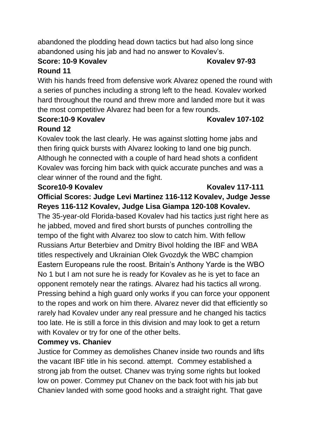abandoned the plodding head down tactics but had also long since abandoned using his jab and had no answer to Kovalev's.

#### **Score: 10-9 Kovalev Kovalev 97-93 Round 11**

With his hands freed from defensive work Alvarez opened the round with a series of punches including a strong left to the head. Kovalev worked hard throughout the round and threw more and landed more but it was the most competitive Alvarez had been for a few rounds.

#### **Score:10-9 Kovalev Kovalev 107-102 Round 12**

Kovalev took the last clearly. He was against slotting home jabs and then firing quick bursts with Alvarez looking to land one big punch. Although he connected with a couple of hard head shots a confident Kovalev was forcing him back with quick accurate punches and was a clear winner of the round and the fight.

#### **Score10-9 Kovalev Kovalev 117-111**

## **Official Scores: Judge Levi Martinez 116-112 Kovalev, Judge Jesse Reyes 116-112 Kovalev, Judge Lisa Giampa 120-108 Kovalev.**

The 35-year-old Florida-based Kovalev had his tactics just right here as he jabbed, moved and fired short bursts of punches controlling the tempo of the fight with Alvarez too slow to catch him. With fellow Russians Artur Beterbiev and Dmitry Bivol holding the IBF and WBA titles respectively and Ukrainian Olek Gvozdyk the WBC champion Eastern Europeans rule the roost. Britain's Anthony Yarde is the WBO No 1 but I am not sure he is ready for Kovalev as he is yet to face an opponent remotely near the ratings. Alvarez had his tactics all wrong. Pressing behind a high guard only works if you can force your opponent to the ropes and work on him there. Alvarez never did that efficiently so rarely had Kovalev under any real pressure and he changed his tactics too late. He is still a force in this division and may look to get a return with Kovalev or try for one of the other belts.

### **Commey vs. Chaniev**

Justice for Commey as demolishes Chanev inside two rounds and lifts the vacant IBF title in his second. attempt. Commey established a strong jab from the outset. Chanev was trying some rights but looked low on power. Commey put Chanev on the back foot with his jab but Chaniev landed with some good hooks and a straight right. That gave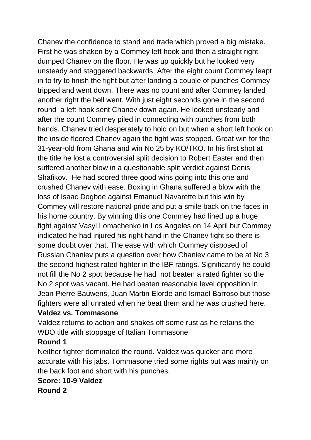Chanev the confidence to stand and trade which proved a big mistake. First he was shaken by a Commey left hook and then a straight right dumped Chanev on the floor. He was up quickly but he looked very unsteady and staggered backwards. After the eight count Commey leapt in to try to finish the fight but after landing a couple of punches Commey tripped and went down. There was no count and after Commey landed another right the bell went. With just eight seconds gone in the second round a left hook sent Chanev down again. He looked unsteady and after the count Commey piled in connecting with punches from both hands. Chanev tried desperately to hold on but when a short left hook on the inside floored Chanev again the fight was stopped. Great win for the 31-year-old from Ghana and win No 25 by KO/TKO. In his first shot at the title he lost a controversial split decision to Robert Easter and then suffered another blow in a questionable split verdict against Denis Shafikov. He had scored three good wins going into this one and crushed Chanev with ease. Boxing in Ghana suffered a blow with the loss of Isaac Dogboe against Emanuel Navarette but this win by Commey will restore national pride and put a smile back on the faces in his home country. By winning this one Commey had lined up a huge fight against Vasyl Lomachenko in Los Angeles on 14 April but Commey indicated he had injured his right hand in the Chanev fight so there is some doubt over that. The ease with which Commey disposed of Russian Chaniev puts a question over how Chaniev came to be at No 3 the second highest rated fighter in the IBF ratings. Significantly he could not fill the No 2 spot because he had not beaten a rated fighter so the No 2 spot was vacant. He had beaten reasonable level opposition in Jean Pierre Bauwens, Juan Martin Elorde and Ismael Barroso but those fighters were all unrated when he beat them and he was crushed here.

#### **Valdez vs. Tommasone**

Valdez returns to action and shakes off some rust as he retains the WBO title with stoppage of Italian Tommasone

#### **Round 1**

Neither fighter dominated the round. Valdez was quicker and more accurate with his jabs. Tommasone tried some rights but was mainly on the back foot and short with his punches.

## **Score: 10-9 Valdez**

**Round 2**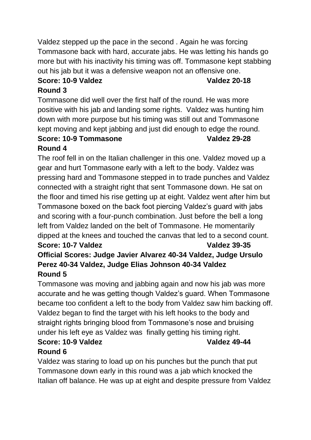Valdez stepped up the pace in the second . Again he was forcing Tommasone back with hard, accurate jabs. He was letting his hands go more but with his inactivity his timing was off. Tommasone kept stabbing out his jab but it was a defensive weapon not an offensive one.

## **Score: 10-9 Valdez Valdez 20-18**

## **Round 3**

Tommasone did well over the first half of the round. He was more positive with his jab and landing some rights. Valdez was hunting him down with more purpose but his timing was still out and Tommasone kept moving and kept jabbing and just did enough to edge the round.

#### **Score: 10-9 Tommasone Valdez 29-28 Round 4**

The roof fell in on the Italian challenger in this one. Valdez moved up a gear and hurt Tommasone early with a left to the body. Valdez was pressing hard and Tommasone stepped in to trade punches and Valdez connected with a straight right that sent Tommasone down. He sat on the floor and timed his rise getting up at eight. Valdez went after him but Tommasone boxed on the back foot piercing Valdez's guard with jabs and scoring with a four-punch combination. Just before the bell a long left from Valdez landed on the belt of Tommasone. He momentarily dipped at the knees and touched the canvas that led to a second count. **Score: 10-7 Valdez Valdez 39-35**

## **Official Scores: Judge Javier Alvarez 40-34 Valdez, Judge Ursulo Perez 40-34 Valdez, Judge Elias Johnson 40-34 Valdez Round 5**

Tommasone was moving and jabbing again and now his jab was more accurate and he was getting though Valdez's guard. When Tommasone became too confident a left to the body from Valdez saw him backing off. Valdez began to find the target with his left hooks to the body and straight rights bringing blood from Tommasone's nose and bruising under his left eye as Valdez was finally getting his timing right. **Score: 10-9 Valdez Valdez 49-44**

# **Round 6**

Valdez was staring to load up on his punches but the punch that put Tommasone down early in this round was a jab which knocked the Italian off balance. He was up at eight and despite pressure from Valdez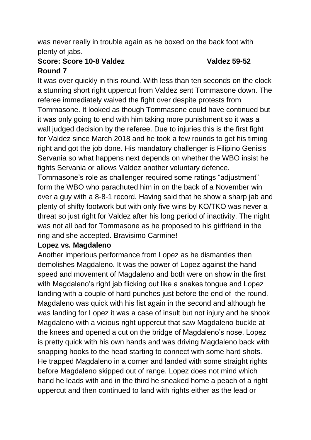was never really in trouble again as he boxed on the back foot with plenty of jabs.

#### **Score: Score 10-8 Valdez Valdez 59-52 Round 7**

It was over quickly in this round. With less than ten seconds on the clock a stunning short right uppercut from Valdez sent Tommasone down. The referee immediately waived the fight over despite protests from Tommasone. It looked as though Tommasone could have continued but it was only going to end with him taking more punishment so it was a wall judged decision by the referee. Due to injuries this is the first fight for Valdez since March 2018 and he took a few rounds to get his timing right and got the job done. His mandatory challenger is Filipino Genisis Servania so what happens next depends on whether the WBO insist he fights Servania or allows Valdez another voluntary defence. Tommasone's role as challenger required some ratings "adjustment" form the WBO who parachuted him in on the back of a November win over a guy with a 8-8-1 record. Having said that he show a sharp jab and

plenty of shifty footwork but with only five wins by KO/TKO was never a threat so just right for Valdez after his long period of inactivity. The night was not all bad for Tommasone as he proposed to his girlfriend in the ring and she accepted. Bravisimo Carmine!

### **Lopez vs. Magdaleno**

Another imperious performance from Lopez as he dismantles then demolishes Magdaleno. It was the power of Lopez against the hand speed and movement of Magdaleno and both were on show in the first with Magdaleno's right jab flicking out like a snakes tongue and Lopez landing with a couple of hard punches just before the end of the round. Magdaleno was quick with his fist again in the second and although he was landing for Lopez it was a case of insult but not injury and he shook Magdaleno with a vicious right uppercut that saw Magdaleno buckle at the knees and opened a cut on the bridge of Magdaleno's nose. Lopez is pretty quick with his own hands and was driving Magdaleno back with snapping hooks to the head starting to connect with some hard shots. He trapped Magdaleno in a corner and landed with some straight rights before Magdaleno skipped out of range. Lopez does not mind which hand he leads with and in the third he sneaked home a peach of a right uppercut and then continued to land with rights either as the lead or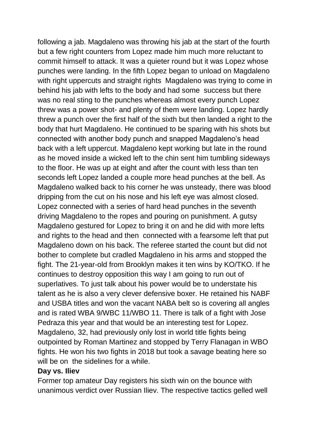following a jab. Magdaleno was throwing his jab at the start of the fourth but a few right counters from Lopez made him much more reluctant to commit himself to attack. It was a quieter round but it was Lopez whose punches were landing. In the fifth Lopez began to unload on Magdaleno with right uppercuts and straight rights Magdaleno was trying to come in behind his jab with lefts to the body and had some success but there was no real sting to the punches whereas almost every punch Lopez threw was a power shot- and plenty of them were landing. Lopez hardly threw a punch over the first half of the sixth but then landed a right to the body that hurt Magdaleno. He continued to be sparing with his shots but connected with another body punch and snapped Magdaleno's head back with a left uppercut. Magdaleno kept working but late in the round as he moved inside a wicked left to the chin sent him tumbling sideways to the floor. He was up at eight and after the count with less than ten seconds left Lopez landed a couple more head punches at the bell. As Magdaleno walked back to his corner he was unsteady, there was blood dripping from the cut on his nose and his left eye was almost closed. Lopez connected with a series of hard head punches in the seventh driving Magdaleno to the ropes and pouring on punishment. A gutsy Magdaleno gestured for Lopez to bring it on and he did with more lefts and rights to the head and then connected with a fearsome left that put Magdaleno down on his back. The referee started the count but did not bother to complete but cradled Magdaleno in his arms and stopped the fight. The 21-year-old from Brooklyn makes it ten wins by KO/TKO. If he continues to destroy opposition this way I am going to run out of superlatives. To just talk about his power would be to understate his talent as he is also a very clever defensive boxer. He retained his NABF and USBA titles and won the vacant NABA belt so is covering all angles and is rated WBA 9/WBC 11/WBO 11. There is talk of a fight with Jose Pedraza this year and that would be an interesting test for Lopez. Magdaleno, 32, had previously only lost in world title fights being outpointed by Roman Martinez and stopped by Terry Flanagan in WBO fights. He won his two fights in 2018 but took a savage beating here so will be on the sidelines for a while.

#### **Day vs. Iliev**

Former top amateur Day registers his sixth win on the bounce with unanimous verdict over Russian Iliev. The respective tactics gelled well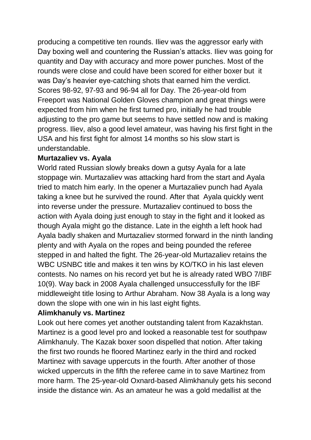producing a competitive ten rounds. Iliev was the aggressor early with Day boxing well and countering the Russian's attacks. Iliev was going for quantity and Day with accuracy and more power punches. Most of the rounds were close and could have been scored for either boxer but it was Day's heavier eye-catching shots that earned him the verdict. Scores 98-92, 97-93 and 96-94 all for Day. The 26-year-old from Freeport was National Golden Gloves champion and great things were expected from him when he first turned pro, initially he had trouble adjusting to the pro game but seems to have settled now and is making progress. Iliev, also a good level amateur, was having his first fight in the USA and his first fight for almost 14 months so his slow start is understandable.

### **Murtazaliev vs. Ayala**

World rated Russian slowly breaks down a gutsy Ayala for a late stoppage win. Murtazaliev was attacking hard from the start and Ayala tried to match him early. In the opener a Murtazaliev punch had Ayala taking a knee but he survived the round. After that Ayala quickly went into reverse under the pressure. Murtazaliev continued to boss the action with Ayala doing just enough to stay in the fight and it looked as though Ayala might go the distance. Late in the eighth a left hook had Ayala badly shaken and Murtazaliev stormed forward in the ninth landing plenty and with Ayala on the ropes and being pounded the referee stepped in and halted the fight. The 26-year-old Murtazaliev retains the WBC USNBC title and makes it ten wins by KO/TKO in his last eleven contests. No names on his record yet but he is already rated WBO 7/IBF 10(9). Way back in 2008 Ayala challenged unsuccessfully for the IBF middleweight title losing to Arthur Abraham. Now 38 Ayala is a long way down the slope with one win in his last eight fights.

#### **Alimkhanuly vs. Martinez**

Look out here comes yet another outstanding talent from Kazakhstan. Martinez is a good level pro and looked a reasonable test for southpaw Alimkhanuly. The Kazak boxer soon dispelled that notion. After taking the first two rounds he floored Martinez early in the third and rocked Martinez with savage uppercuts in the fourth. After another of those wicked uppercuts in the fifth the referee came in to save Martinez from more harm. The 25-year-old Oxnard-based Alimkhanuly gets his second inside the distance win. As an amateur he was a gold medallist at the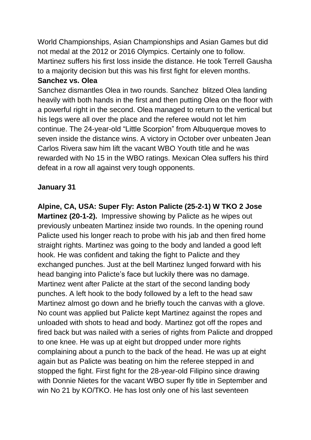World Championships, Asian Championships and Asian Games but did not medal at the 2012 or 2016 Olympics. Certainly one to follow. Martinez suffers his first loss inside the distance. He took Terrell Gausha to a majority decision but this was his first fight for eleven months.

#### **Sanchez vs. Olea**

Sanchez dismantles Olea in two rounds. Sanchez blitzed Olea landing heavily with both hands in the first and then putting Olea on the floor with a powerful right in the second. Olea managed to return to the vertical but his legs were all over the place and the referee would not let him continue. The 24-year-old "Little Scorpion" from Albuquerque moves to seven inside the distance wins. A victory in October over unbeaten Jean Carlos Rivera saw him lift the vacant WBO Youth title and he was rewarded with No 15 in the WBO ratings. Mexican Olea suffers his third defeat in a row all against very tough opponents.

### **January 31**

**Alpine, CA, USA: Super Fly: Aston Palicte (25-2-1) W TKO 2 Jose Martinez (20-1-2).** Impressive showing by Palicte as he wipes out previously unbeaten Martinez inside two rounds. In the opening round Palicte used his longer reach to probe with his jab and then fired home straight rights. Martinez was going to the body and landed a good left hook. He was confident and taking the fight to Palicte and they exchanged punches. Just at the bell Martinez lunged forward with his head banging into Palicte's face but luckily there was no damage. Martinez went after Palicte at the start of the second landing body punches. A left hook to the body followed by a left to the head saw Martinez almost go down and he briefly touch the canvas with a glove. No count was applied but Palicte kept Martinez against the ropes and unloaded with shots to head and body. Martinez got off the ropes and fired back but was nailed with a series of rights from Palicte and dropped to one knee. He was up at eight but dropped under more rights complaining about a punch to the back of the head. He was up at eight again but as Palicte was beating on him the referee stepped in and stopped the fight. First fight for the 28-year-old Filipino since drawing with Donnie Nietes for the vacant WBO super fly title in September and win No 21 by KO/TKO. He has lost only one of his last seventeen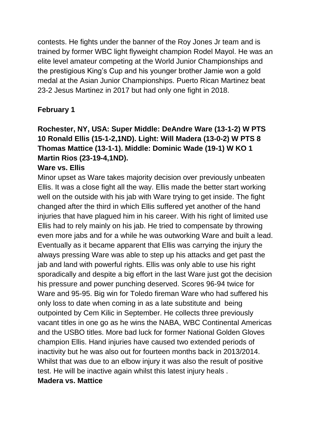contests. He fights under the banner of the Roy Jones Jr team and is trained by former WBC light flyweight champion Rodel Mayol. He was an elite level amateur competing at the World Junior Championships and the prestigious King's Cup and his younger brother Jamie won a gold medal at the Asian Junior Championships. Puerto Rican Martinez beat 23-2 Jesus Martinez in 2017 but had only one fight in 2018.

## **February 1**

## **Rochester, NY, USA: Super Middle: DeAndre Ware (13-1-2) W PTS 10 Ronald Ellis (15-1-2,1ND). Light: Will Madera (13-0-2) W PTS 8 Thomas Mattice (13-1-1). Middle: Dominic Wade (19-1) W KO 1 Martin Rios (23-19-4,1ND).**

### **Ware vs. Ellis**

Minor upset as Ware takes majority decision over previously unbeaten Ellis. It was a close fight all the way. Ellis made the better start working well on the outside with his jab with Ware trying to get inside. The fight changed after the third in which Ellis suffered yet another of the hand injuries that have plagued him in his career. With his right of limited use Ellis had to rely mainly on his jab. He tried to compensate by throwing even more jabs and for a while he was outworking Ware and built a lead. Eventually as it became apparent that Ellis was carrying the injury the always pressing Ware was able to step up his attacks and get past the jab and land with powerful rights. Ellis was only able to use his right sporadically and despite a big effort in the last Ware just got the decision his pressure and power punching deserved. Scores 96-94 twice for Ware and 95-95. Big win for Toledo fireman Ware who had suffered his only loss to date when coming in as a late substitute and being outpointed by Cem Kilic in September. He collects three previously vacant titles in one go as he wins the NABA, WBC Continental Americas and the USBO titles. More bad luck for former National Golden Gloves champion Ellis. Hand injuries have caused two extended periods of inactivity but he was also out for fourteen months back in 2013/2014. Whilst that was due to an elbow injury it was also the result of positive test. He will be inactive again whilst this latest injury heals .

#### **Madera vs. Mattice**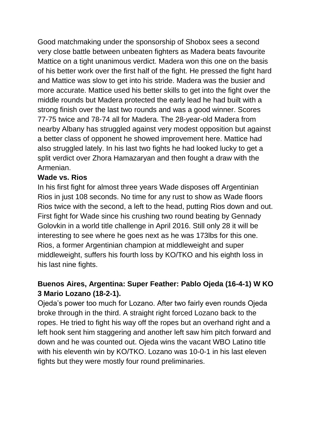Good matchmaking under the sponsorship of Shobox sees a second very close battle between unbeaten fighters as Madera beats favourite Mattice on a tight unanimous verdict. Madera won this one on the basis of his better work over the first half of the fight. He pressed the fight hard and Mattice was slow to get into his stride. Madera was the busier and more accurate. Mattice used his better skills to get into the fight over the middle rounds but Madera protected the early lead he had built with a strong finish over the last two rounds and was a good winner. Scores 77-75 twice and 78-74 all for Madera. The 28-year-old Madera from nearby Albany has struggled against very modest opposition but against a better class of opponent he showed improvement here. Mattice had also struggled lately. In his last two fights he had looked lucky to get a split verdict over Zhora Hamazaryan and then fought a draw with the Armenian.

### **Wade vs. Rios**

In his first fight for almost three years Wade disposes off Argentinian Rios in just 108 seconds. No time for any rust to show as Wade floors Rios twice with the second, a left to the head, putting Rios down and out. First fight for Wade since his crushing two round beating by Gennady Golovkin in a world title challenge in April 2016. Still only 28 it will be interesting to see where he goes next as he was 173lbs for this one. Rios, a former Argentinian champion at middleweight and super middleweight, suffers his fourth loss by KO/TKO and his eighth loss in his last nine fights.

## **Buenos Aires, Argentina: Super Feather: Pablo Ojeda (16-4-1) W KO 3 Mario Lozano (18-2-1).**

Ojeda's power too much for Lozano. After two fairly even rounds Ojeda broke through in the third. A straight right forced Lozano back to the ropes. He tried to fight his way off the ropes but an overhand right and a left hook sent him staggering and another left saw him pitch forward and down and he was counted out. Ojeda wins the vacant WBO Latino title with his eleventh win by KO/TKO. Lozano was 10-0-1 in his last eleven fights but they were mostly four round preliminaries.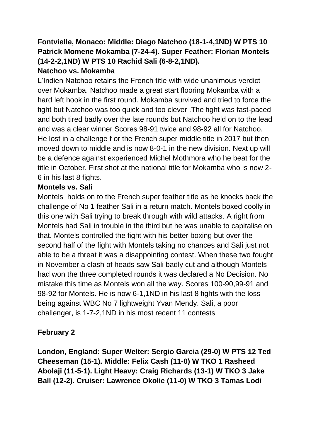## **Fontvielle, Monaco: Middle: Diego Natchoo (18-1-4,1ND) W PTS 10 Patrick Momene Mokamba (7-24-4). Super Feather: Florian Montels (14-2-2,1ND) W PTS 10 Rachid Sali (6-8-2,1ND).**

### **Natchoo vs. Mokamba**

L'Indien Natchoo retains the French title with wide unanimous verdict over Mokamba. Natchoo made a great start flooring Mokamba with a hard left hook in the first round. Mokamba survived and tried to force the fight but Natchoo was too quick and too clever .The fight was fast-paced and both tired badly over the late rounds but Natchoo held on to the lead and was a clear winner Scores 98-91 twice and 98-92 all for Natchoo. He lost in a challenge f or the French super middle title in 2017 but then moved down to middle and is now 8-0-1 in the new division. Next up will be a defence against experienced Michel Mothmora who he beat for the title in October. First shot at the national title for Mokamba who is now 2- 6 in his last 8 fights.

#### **Montels vs. Sali**

Montels holds on to the French super feather title as he knocks back the challenge of No 1 feather Sali in a return match. Montels boxed coolly in this one with Sali trying to break through with wild attacks. A right from Montels had Sali in trouble in the third but he was unable to capitalise on that. Montels controlled the fight with his better boxing but over the second half of the fight with Montels taking no chances and Sali just not able to be a threat it was a disappointing contest. When these two fought in November a clash of heads saw Sali badly cut and although Montels had won the three completed rounds it was declared a No Decision. No mistake this time as Montels won all the way. Scores 100-90,99-91 and 98-92 for Montels. He is now 6-1,1ND in his last 8 fights with the loss being against WBC No 7 lightweight Yvan Mendy. Sali, a poor challenger, is 1-7-2,1ND in his most recent 11 contests

### **February 2**

**London, England: Super Welter: Sergio Garcia (29-0) W PTS 12 Ted Cheeseman (15-1). Middle: Felix Cash (11-0) W TKO 1 Rasheed Abolaji (11-5-1). Light Heavy: Craig Richards (13-1) W TKO 3 Jake Ball (12-2). Cruiser: Lawrence Okolie (11-0) W TKO 3 Tamas Lodi**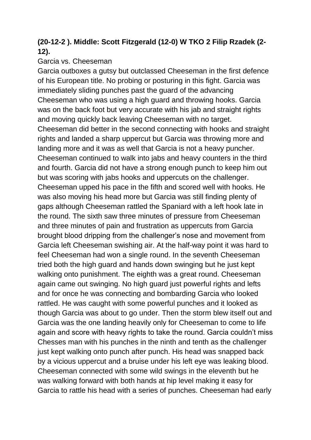## **(20-12-2 ). Middle: Scott Fitzgerald (12-0) W TKO 2 Filip Rzadek (2- 12).**

#### Garcia vs. Cheeseman

Garcia outboxes a gutsy but outclassed Cheeseman in the first defence of his European title. No probing or posturing in this fight. Garcia was immediately sliding punches past the guard of the advancing Cheeseman who was using a high guard and throwing hooks. Garcia was on the back foot but very accurate with his jab and straight rights and moving quickly back leaving Cheeseman with no target. Cheeseman did better in the second connecting with hooks and straight rights and landed a sharp uppercut but Garcia was throwing more and landing more and it was as well that Garcia is not a heavy puncher. Cheeseman continued to walk into jabs and heavy counters in the third and fourth. Garcia did not have a strong enough punch to keep him out but was scoring with jabs hooks and uppercuts on the challenger. Cheeseman upped his pace in the fifth and scored well with hooks. He was also moving his head more but Garcia was still finding plenty of gaps although Cheeseman rattled the Spaniard with a left hook late in the round. The sixth saw three minutes of pressure from Cheeseman and three minutes of pain and frustration as uppercuts from Garcia brought blood dripping from the challenger's nose and movement from Garcia left Cheeseman swishing air. At the half-way point it was hard to feel Cheeseman had won a single round. In the seventh Cheeseman tried both the high guard and hands down swinging but he just kept walking onto punishment. The eighth was a great round. Cheeseman again came out swinging. No high guard just powerful rights and lefts and for once he was connecting and bombarding Garcia who looked rattled. He was caught with some powerful punches and it looked as though Garcia was about to go under. Then the storm blew itself out and Garcia was the one landing heavily only for Cheeseman to come to life again and score with heavy rights to take the round. Garcia couldn't miss Chesses man with his punches in the ninth and tenth as the challenger just kept walking onto punch after punch. His head was snapped back by a vicious uppercut and a bruise under his left eye was leaking blood. Cheeseman connected with some wild swings in the eleventh but he was walking forward with both hands at hip level making it easy for Garcia to rattle his head with a series of punches. Cheeseman had early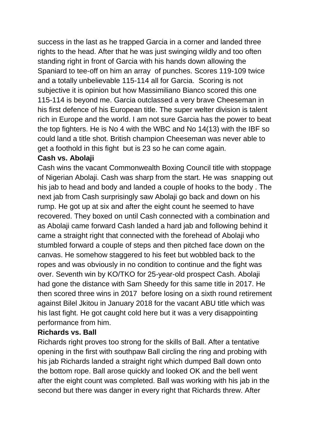success in the last as he trapped Garcia in a corner and landed three rights to the head. After that he was just swinging wildly and too often standing right in front of Garcia with his hands down allowing the Spaniard to tee-off on him an array of punches. Scores 119-109 twice and a totally unbelievable 115-114 all for Garcia. Scoring is not subjective it is opinion but how Massimiliano Bianco scored this one 115-114 is beyond me. Garcia outclassed a very brave Cheeseman in his first defence of his European title. The super welter division is talent rich in Europe and the world. I am not sure Garcia has the power to beat the top fighters. He is No 4 with the WBC and No 14(13) with the IBF so could land a title shot. British champion Cheeseman was never able to get a foothold in this fight but is 23 so he can come again.

#### **Cash vs. Abolaji**

Cash wins the vacant Commonwealth Boxing Council title with stoppage of Nigerian Abolaji. Cash was sharp from the start. He was snapping out his jab to head and body and landed a couple of hooks to the body . The next jab from Cash surprisingly saw Abolaji go back and down on his rump. He got up at six and after the eight count he seemed to have recovered. They boxed on until Cash connected with a combination and as Abolaji came forward Cash landed a hard jab and following behind it came a straight right that connected with the forehead of Abolaji who stumbled forward a couple of steps and then pitched face down on the canvas. He somehow staggered to his feet but wobbled back to the ropes and was obviously in no condition to continue and the fight was over. Seventh win by KO/TKO for 25-year-old prospect Cash. Abolaji had gone the distance with Sam Sheedy for this same title in 2017. He then scored three wins in 2017 before losing on a sixth round retirement against Bilel Jkitou in January 2018 for the vacant ABU title which was his last fight. He got caught cold here but it was a very disappointing performance from him.

### **Richards vs. Ball**

Richards right proves too strong for the skills of Ball. After a tentative opening in the first with southpaw Ball circling the ring and probing with his jab Richards landed a straight right which dumped Ball down onto the bottom rope. Ball arose quickly and looked OK and the bell went after the eight count was completed. Ball was working with his jab in the second but there was danger in every right that Richards threw. After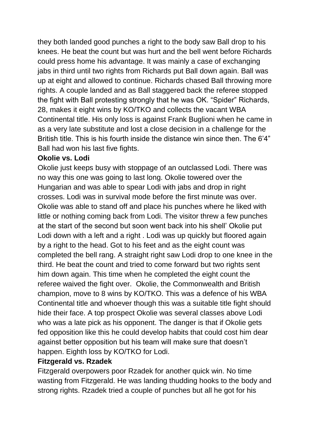they both landed good punches a right to the body saw Ball drop to his knees. He beat the count but was hurt and the bell went before Richards could press home his advantage. It was mainly a case of exchanging jabs in third until two rights from Richards put Ball down again. Ball was up at eight and allowed to continue. Richards chased Ball throwing more rights. A couple landed and as Ball staggered back the referee stopped the fight with Ball protesting strongly that he was OK. "Spider" Richards, 28, makes it eight wins by KO/TKO and collects the vacant WBA Continental title. His only loss is against Frank Buglioni when he came in as a very late substitute and lost a close decision in a challenge for the British title. This is his fourth inside the distance win since then. The 6'4" Ball had won his last five fights.

#### **Okolie vs. Lodi**

Okolie just keeps busy with stoppage of an outclassed Lodi. There was no way this one was going to last long. Okolie towered over the Hungarian and was able to spear Lodi with jabs and drop in right crosses. Lodi was in survival mode before the first minute was over. Okolie was able to stand off and place his punches where he liked with little or nothing coming back from Lodi. The visitor threw a few punches at the start of the second but soon went back into his shell' Okolie put Lodi down with a left and a right . Lodi was up quickly but floored again by a right to the head. Got to his feet and as the eight count was completed the bell rang. A straight right saw Lodi drop to one knee in the third. He beat the count and tried to come forward but two rights sent him down again. This time when he completed the eight count the referee waived the fight over. Okolie, the Commonwealth and British champion, move to 8 wins by KO/TKO. This was a defence of his WBA Continental title and whoever though this was a suitable title fight should hide their face. A top prospect Okolie was several classes above Lodi who was a late pick as his opponent. The danger is that if Okolie gets fed opposition like this he could develop habits that could cost him dear against better opposition but his team will make sure that doesn't happen. Eighth loss by KO/TKO for Lodi.

#### **Fitzgerald vs. Rzadek**

Fitzgerald overpowers poor Rzadek for another quick win. No time wasting from Fitzgerald. He was landing thudding hooks to the body and strong rights. Rzadek tried a couple of punches but all he got for his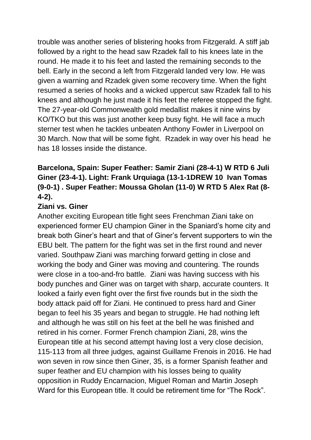trouble was another series of blistering hooks from Fitzgerald. A stiff jab followed by a right to the head saw Rzadek fall to his knees late in the round. He made it to his feet and lasted the remaining seconds to the bell. Early in the second a left from Fitzgerald landed very low. He was given a warning and Rzadek given some recovery time. When the fight resumed a series of hooks and a wicked uppercut saw Rzadek fall to his knees and although he just made it his feet the referee stopped the fight. The 27-year-old Commonwealth gold medallist makes it nine wins by KO/TKO but this was just another keep busy fight. He will face a much sterner test when he tackles unbeaten Anthony Fowler in Liverpool on 30 March. Now that will be some fight. Rzadek in way over his head he has 18 losses inside the distance.

## **Barcelona, Spain: Super Feather: Samir Ziani (28-4-1) W RTD 6 Juli Giner (23-4-1). Light: Frank Urquiaga (13-1-1DREW 10 Ivan Tomas (9-0-1) . Super Feather: Moussa Gholan (11-0) W RTD 5 Alex Rat (8- 4-2).**

#### **Ziani vs. Giner**

Another exciting European title fight sees Frenchman Ziani take on experienced former EU champion Giner in the Spaniard's home city and break both Giner's heart and that of Giner's fervent supporters to win the EBU belt. The pattern for the fight was set in the first round and never varied. Southpaw Ziani was marching forward getting in close and working the body and Giner was moving and countering. The rounds were close in a too-and-fro battle. Ziani was having success with his body punches and Giner was on target with sharp, accurate counters. It looked a fairly even fight over the first five rounds but in the sixth the body attack paid off for Ziani. He continued to press hard and Giner began to feel his 35 years and began to struggle. He had nothing left and although he was still on his feet at the bell he was finished and retired in his corner. Former French champion Ziani, 28, wins the European title at his second attempt having lost a very close decision, 115-113 from all three judges, against Guillame Frenois in 2016. He had won seven in row since then Giner, 35, is a former Spanish feather and super feather and EU champion with his losses being to quality opposition in Ruddy Encarnacion, Miguel Roman and Martin Joseph Ward for this European title. It could be retirement time for "The Rock".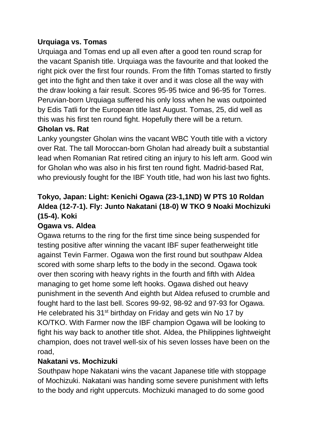### **Urquiaga vs. Tomas**

Urquiaga and Tomas end up all even after a good ten round scrap for the vacant Spanish title. Urquiaga was the favourite and that looked the right pick over the first four rounds. From the fifth Tomas started to firstly get into the fight and then take it over and it was close all the way with the draw looking a fair result. Scores 95-95 twice and 96-95 for Torres. Peruvian-born Urquiaga suffered his only loss when he was outpointed by Edis Tatli for the European title last August. Tomas, 25, did well as this was his first ten round fight. Hopefully there will be a return.

### **Gholan vs. Rat**

Lanky youngster Gholan wins the vacant WBC Youth title with a victory over Rat. The tall Moroccan-born Gholan had already built a substantial lead when Romanian Rat retired citing an injury to his left arm. Good win for Gholan who was also in his first ten round fight. Madrid-based Rat, who previously fought for the IBF Youth title, had won his last two fights.

## **Tokyo, Japan: Light: Kenichi Ogawa (23-1,1ND) W PTS 10 Roldan Aldea (12-7-1). Fly: Junto Nakatani (18-0) W TKO 9 Noaki Mochizuki (15-4). Koki**

## **Ogawa vs. Aldea**

Ogawa returns to the ring for the first time since being suspended for testing positive after winning the vacant IBF super featherweight title against Tevin Farmer. Ogawa won the first round but southpaw Aldea scored with some sharp lefts to the body in the second. Ogawa took over then scoring with heavy rights in the fourth and fifth with Aldea managing to get home some left hooks. Ogawa dished out heavy punishment in the seventh And eighth but Aldea refused to crumble and fought hard to the last bell. Scores 99-92, 98-92 and 97-93 for Ogawa. He celebrated his 31<sup>st</sup> birthday on Friday and gets win No 17 by KO/TKO. With Farmer now the IBF champion Ogawa will be looking to fight his way back to another title shot. Aldea, the Philippines lightweight champion, does not travel well-six of his seven losses have been on the road,

### **Nakatani vs. Mochizuki**

Southpaw hope Nakatani wins the vacant Japanese title with stoppage of Mochizuki. Nakatani was handing some severe punishment with lefts to the body and right uppercuts. Mochizuki managed to do some good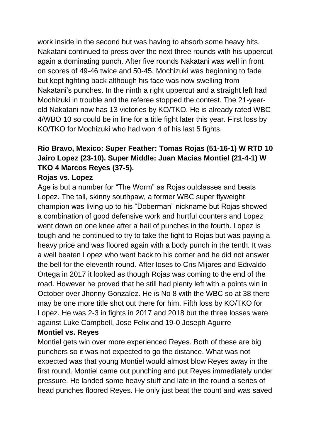work inside in the second but was having to absorb some heavy hits. Nakatani continued to press over the next three rounds with his uppercut again a dominating punch. After five rounds Nakatani was well in front on scores of 49-46 twice and 50-45. Mochizuki was beginning to fade but kept fighting back although his face was now swelling from Nakatani's punches. In the ninth a right uppercut and a straight left had Mochizuki in trouble and the referee stopped the contest. The 21-yearold Nakatani now has 13 victories by KO/TKO. He is already rated WBC 4/WBO 10 so could be in line for a title fight later this year. First loss by KO/TKO for Mochizuki who had won 4 of his last 5 fights.

## **Rio Bravo, Mexico: Super Feather: Tomas Rojas (51-16-1) W RTD 10 Jairo Lopez (23-10). Super Middle: Juan Macias Montiel (21-4-1) W TKO 4 Marcos Reyes (37-5).**

#### **Rojas vs. Lopez**

Age is but a number for "The Worm" as Rojas outclasses and beats Lopez. The tall, skinny southpaw, a former WBC super flyweight champion was living up to his "Doberman" nickname but Rojas showed a combination of good defensive work and hurtful counters and Lopez went down on one knee after a hail of punches in the fourth. Lopez is tough and he continued to try to take the fight to Rojas but was paying a heavy price and was floored again with a body punch in the tenth. It was a well beaten Lopez who went back to his corner and he did not answer the bell for the eleventh round. After loses to Cris Mijares and Edivaldo Ortega in 2017 it looked as though Rojas was coming to the end of the road. However he proved that he still had plenty left with a points win in October over Jhonny Gonzalez. He is No 8 with the WBC so at 38 there may be one more title shot out there for him. Fifth loss by KO/TKO for Lopez. He was 2-3 in fights in 2017 and 2018 but the three losses were against Luke Campbell, Jose Felix and 19-0 Joseph Aguirre **Montiel vs. Reyes** 

Montiel gets win over more experienced Reyes. Both of these are big punchers so it was not expected to go the distance. What was not expected was that young Montiel would almost blow Reyes away in the first round. Montiel came out punching and put Reyes immediately under pressure. He landed some heavy stuff and late in the round a series of head punches floored Reyes. He only just beat the count and was saved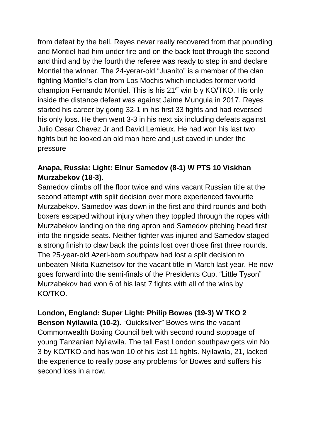from defeat by the bell. Reyes never really recovered from that pounding and Montiel had him under fire and on the back foot through the second and third and by the fourth the referee was ready to step in and declare Montiel the winner. The 24-yerar-old "Juanito" is a member of the clan fighting Montiel's clan from Los Mochis which includes former world champion Fernando Montiel. This is his 21st win b y KO/TKO. His only inside the distance defeat was against Jaime Munguia in 2017. Reyes started his career by going 32-1 in his first 33 fights and had reversed his only loss. He then went 3-3 in his next six including defeats against Julio Cesar Chavez Jr and David Lemieux. He had won his last two fights but he looked an old man here and just caved in under the pressure

## **Anapa, Russia: Light: Elnur Samedov (8-1) W PTS 10 Viskhan Murzabekov (18-3).**

Samedov climbs off the floor twice and wins vacant Russian title at the second attempt with split decision over more experienced favourite Murzabekov. Samedov was down in the first and third rounds and both boxers escaped without injury when they toppled through the ropes with Murzabekov landing on the ring apron and Samedov pitching head first into the ringside seats. Neither fighter was injured and Samedov staged a strong finish to claw back the points lost over those first three rounds. The 25-year-old Azeri-born southpaw had lost a split decision to unbeaten Nikita Kuznetsov for the vacant title in March last year. He now goes forward into the semi-finals of the Presidents Cup. "Little Tyson" Murzabekov had won 6 of his last 7 fights with all of the wins by KO/TKO.

## **London, England: Super Light: Philip Bowes (19-3) W TKO 2**

**Benson Nyilawila (10-2).** "Quicksilver" Bowes wins the vacant Commonwealth Boxing Council belt with second round stoppage of young Tanzanian Nyilawila. The tall East London southpaw gets win No 3 by KO/TKO and has won 10 of his last 11 fights. Nyilawila, 21, lacked the experience to really pose any problems for Bowes and suffers his second loss in a row.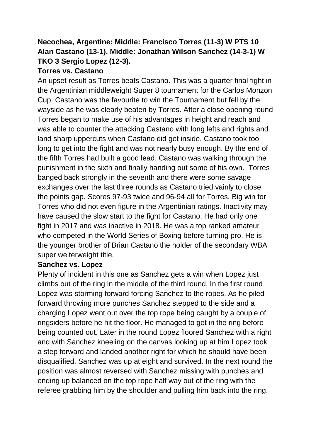## **Necochea, Argentine: Middle: Francisco Torres (11-3) W PTS 10 Alan Castano (13-1). Middle: Jonathan Wilson Sanchez (14-3-1) W TKO 3 Sergio Lopez (12-3).**

### **Torres vs. Castano**

An upset result as Torres beats Castano. This was a quarter final fight in the Argentinian middleweight Super 8 tournament for the Carlos Monzon Cup. Castano was the favourite to win the Tournament but fell by the wayside as he was clearly beaten by Torres. After a close opening round Torres began to make use of his advantages in height and reach and was able to counter the attacking Castano with long lefts and rights and land sharp uppercuts when Castano did get inside. Castano took too long to get into the fight and was not nearly busy enough. By the end of the fifth Torres had built a good lead. Castano was walking through the punishment in the sixth and finally handing out some of his own. Torres banged back strongly in the seventh and there were some savage exchanges over the last three rounds as Castano tried vainly to close the points gap. Scores 97-93 twice and 96-94 all for Torres. Big win for Torres who did not even figure in the Argentinian ratings. Inactivity may have caused the slow start to the fight for Castano. He had only one fight in 2017 and was inactive in 2018. He was a top ranked amateur who competed in the World Series of Boxing before turning pro. He is the younger brother of Brian Castano the holder of the secondary WBA super welterweight title.

#### **Sanchez vs. Lopez**

Plenty of incident in this one as Sanchez gets a win when Lopez just climbs out of the ring in the middle of the third round. In the first round Lopez was storming forward forcing Sanchez to the ropes. As he piled forward throwing more punches Sanchez stepped to the side and a charging Lopez went out over the top rope being caught by a couple of ringsiders before he hit the floor. He managed to get in the ring before being counted out. Later in the round Lopez floored Sanchez with a right and with Sanchez kneeling on the canvas looking up at him Lopez took a step forward and landed another right for which he should have been disqualified. Sanchez was up at eight and survived. In the next round the position was almost reversed with Sanchez missing with punches and ending up balanced on the top rope half way out of the ring with the referee grabbing him by the shoulder and pulling him back into the ring.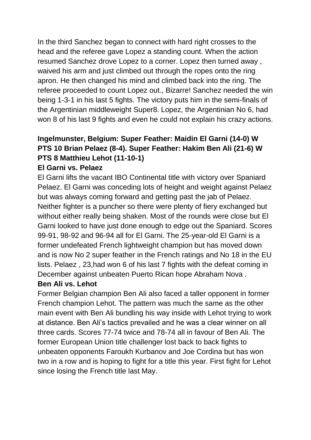In the third Sanchez began to connect with hard right crosses to the head and the referee gave Lopez a standing count. When the action resumed Sanchez drove Lopez to a corner. Lopez then turned away , waived his arm and just climbed out through the ropes onto the ring apron. He then changed his mind and climbed back into the ring. The referee proceeded to count Lopez out., Bizarre! Sanchez needed the win being 1-3-1 in his last 5 fights. The victory puts him in the semi-finals of the Argentinian middleweight Super8. Lopez, the Argentinian No 6, had won 8 of his last 9 fights and even he could not explain his crazy actions.

## **Ingelmunster, Belgium: Super Feather: Maidin El Garni (14-0) W PTS 10 Brian Pelaez (8-4). Super Feather: Hakim Ben Ali (21-6) W PTS 8 Matthieu Lehot (11-10-1)**

### **El Garni vs. Pelaez**

El Garni lifts the vacant IBO Continental title with victory over Spaniard Pelaez. El Garni was conceding lots of height and weight against Pelaez but was always coming forward and getting past the jab of Pelaez. Neither fighter is a puncher so there were plenty of fiery exchanged but without either really being shaken. Most of the rounds were close but El Garni looked to have just done enough to edge out the Spaniard. Scores 99-91, 98-92 and 96-94 all for El Garni. The 25-year-old El Garni is a former undefeated French lightweight champion but has moved down and is now No 2 super feather in the French ratings and No 18 in the EU lists. Pelaez , 23,had won 6 of his last 7 fights with the defeat coming in December against unbeaten Puerto Rican hope Abraham Nova .

### **Ben Ali vs. Lehot**

Former Belgian champion Ben Ali also faced a taller opponent in former French champion Lehot. The pattern was much the same as the other main event with Ben Ali bundling his way inside with Lehot trying to work at distance. Ben Ali's tactics prevailed and he was a clear winner on all three cards. Scores 77-74 twice and 78-74 all in favour of Ben Ali. The former European Union title challenger lost back to back fights to unbeaten opponents Faroukh Kurbanov and Joe Cordina but has won two in a row and is hoping to fight for a title this year. First fight for Lehot since losing the French title last May.